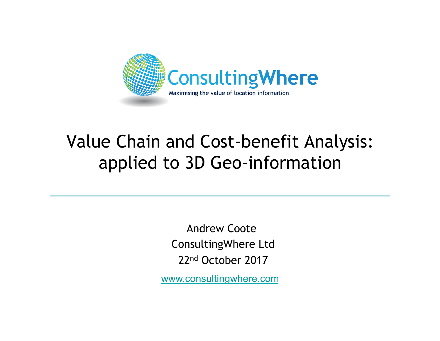

#### Value Chain and Cost-benefit Analysis: applied to 3D Geo-information

Andrew Coote ConsultingWhere Ltd 22nd October 2017

www.consultingwhere.com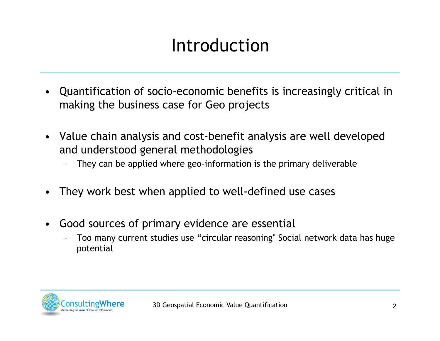## Introduction

- Quantification of socio-economic benefits is increasingly critical in making the business case for Geo projects
- Value chain analysis and cost-benefit analysis are well developed and understood general methodologies
	- They can be applied where geo-information is the primary deliverable
- They work best when applied to well-defined use cases
- Good sources of primary evidence are essential
	- Too many current studies use "circular reasoning" Social network data has huge potential

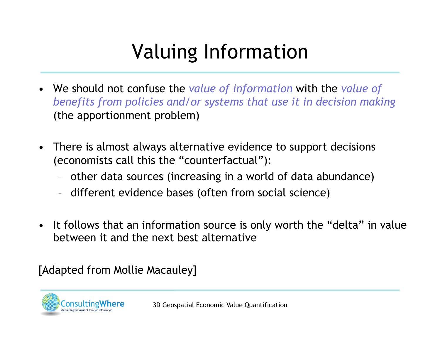# Valuing Information

- We should not confuse the *value of information* with the *value of benefits from policies and/or systems that use it in decision making*  (the apportionment problem)
- There is almost always alternative evidence to support decisions (economists call this the "counterfactual"):
	- other data sources (increasing in a world of data abundance)
	- different evidence bases (often from social science)
- It follows that an information source is only worth the "delta" in value between it and the next best alternative

[Adapted from Mollie Macauley]



3D Geospatial Economic Value Quantification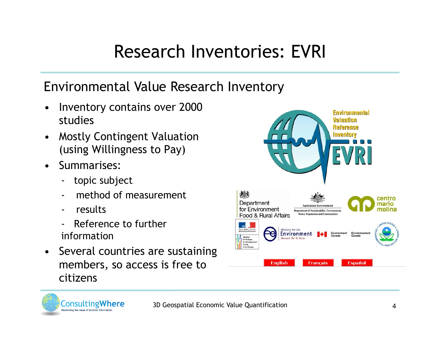#### Research Inventories: EVRI

#### Environmental Value Research Inventory

- Inventory contains over 2000 studies
- Mostly Contingent Valuation (using Willingness to Pay)
- Summarises:
	- topic subject
	- method of measurement
	- results
	- Reference to further information
- Several countries are sustaining members, so access is free to citizens



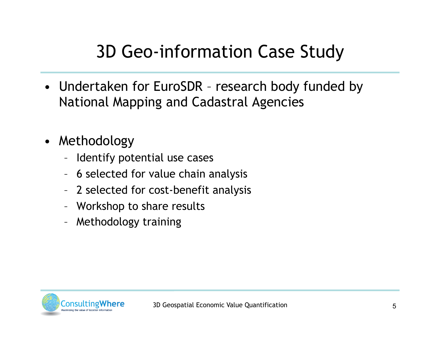### 3D Geo-information Case Study

- Undertaken for EuroSDR research body funded by National Mapping and Cadastral Agencies
- Methodology
	- Identify potential use cases
	- 6 selected for value chain analysis
	- 2 selected for cost-benefit analysis
	- Workshop to share results
	- Methodology training

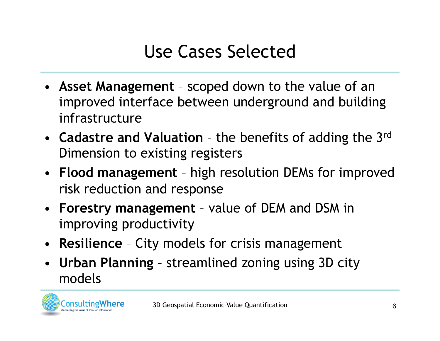### Use Cases Selected

- **Asset Management**  scoped down to the value of an improved interface between underground and building infrastructure
- **Cadastre and Valuation**  the benefits of adding the 3rd Dimension to existing registers
- **Flood management**  high resolution DEMs for improved risk reduction and response
- **Forestry management**  value of DEM and DSM in improving productivity
- **Resilience** City models for crisis management
- **Urban Planning**  streamlined zoning using 3D city models

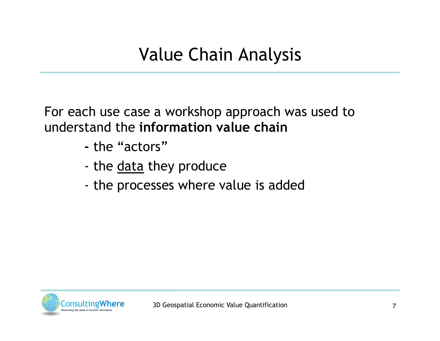For each use case a workshop approach was used to understand the **information value chain** 

- the "actors"
- the data they produce
- the processes where value is added

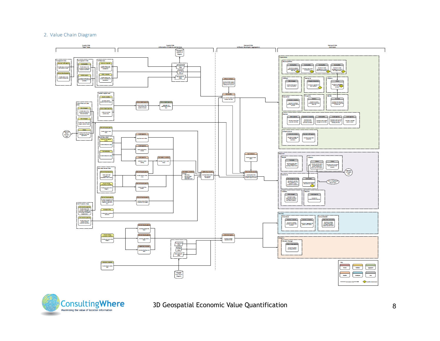#### 2. Value Chain Diagram





3D Geospatial Economic Value Quantification 8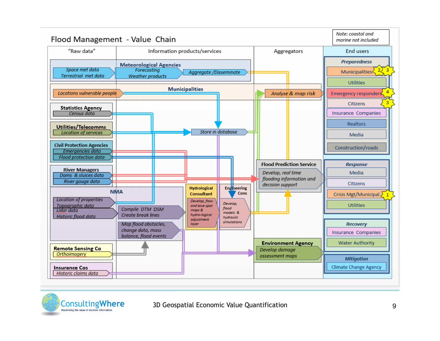

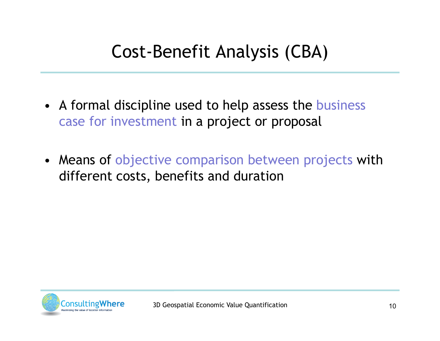- A formal discipline used to help assess the business case for investment in a project or proposal
- Means of objective comparison between projects with different costs, benefits and duration

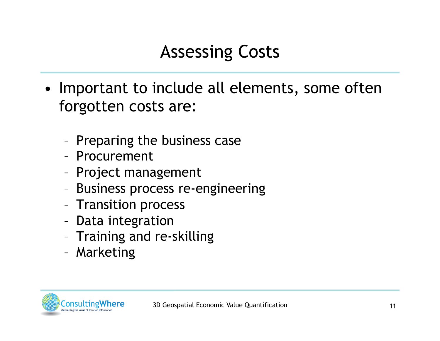## Assessing Costs

- Important to include all elements, some often forgotten costs are:
	- Preparing the business case
	- Procurement
	- Project management
	- Business process re-engineering
	- Transition process
	- Data integration
	- Training and re-skilling
	- Marketing

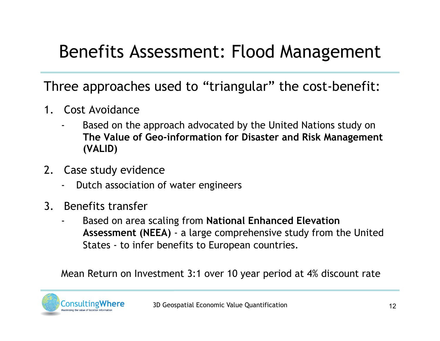#### Benefits Assessment: Flood Management

Three approaches used to "triangular" the cost-benefit:

- 1. Cost Avoidance
	- Based on the approach advocated by the United Nations study on **The Value of Geo-information for Disaster and Risk Management (VALID)**
- 2. Case study evidence
	- Dutch association of water engineers
- 3. Benefits transfer
	- Based on area scaling from **National Enhanced Elevation Assessment (NEEA)** - a large comprehensive study from the United States - to infer benefits to European countries.

Mean Return on Investment 3:1 over 10 year period at 4% discount rate

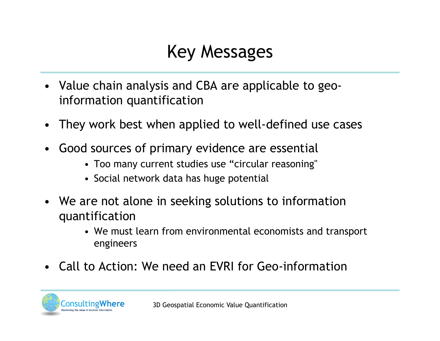#### Key Messages

- Value chain analysis and CBA are applicable to geoinformation quantification
- They work best when applied to well-defined use cases
- Good sources of primary evidence are essential
	- Too many current studies use "circular reasoning"
	- Social network data has huge potential
- We are not alone in seeking solutions to information quantification
	- We must learn from environmental economists and transport engineers
- Call to Action: We need an EVRI for Geo-information